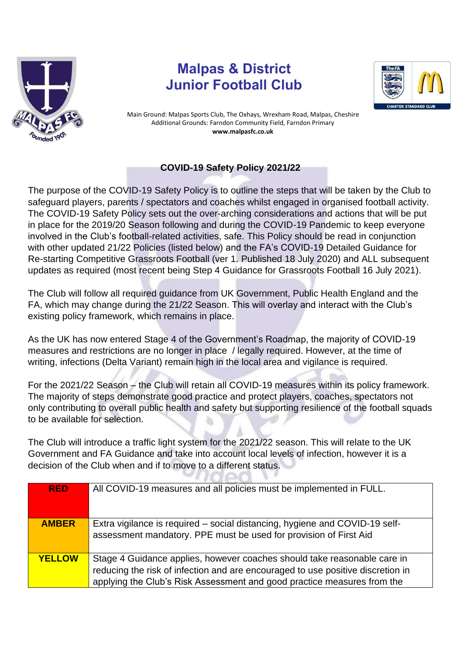

# **Malpas & District Junior Football Club**



Main Ground: Malpas Sports Club, The Oxhays, Wrexham Road, Malpas, Cheshire Additional Grounds: Farndon Community Field, Farndon Primary **www.malpasfc.co.uk** 

#### **COVID-19 Safety Policy 2021/22**

The purpose of the COVID-19 Safety Policy is to outline the steps that will be taken by the Club to safeguard players, parents / spectators and coaches whilst engaged in organised football activity. The COVID-19 Safety Policy sets out the over-arching considerations and actions that will be put in place for the 2019/20 Season following and during the COVID-19 Pandemic to keep everyone involved in the Club's football-related activities, safe. This Policy should be read in conjunction with other updated 21/22 Policies (listed below) and the FA's COVID-19 Detailed Guidance for Re-starting Competitive Grassroots Football (ver 1. Published 18 July 2020) and ALL subsequent updates as required (most recent being Step 4 Guidance for Grassroots Football 16 July 2021).

The Club will follow all required guidance from UK Government, Public Health England and the FA, which may change during the 21/22 Season. This will overlay and interact with the Club's existing policy framework, which remains in place.

As the UK has now entered Stage 4 of the Government's Roadmap, the majority of COVID-19 measures and restrictions are no longer in place / legally required. However, at the time of writing, infections (Delta Variant) remain high in the local area and vigilance is required.

For the 2021/22 Season – the Club will retain all COVID-19 measures within its policy framework. The majority of steps demonstrate good practice and protect players, coaches, spectators not only contributing to overall public health and safety but supporting resilience of the football squads to be available for selection.

The Club will introduce a traffic light system for the 2021/22 season. This will relate to the UK Government and FA Guidance and take into account local levels of infection, however it is a decision of the Club when and if to move to a different status.

35

| <b>RED</b>    | All COVID-19 measures and all policies must be implemented in FULL.                                                                                                                                                                    |
|---------------|----------------------------------------------------------------------------------------------------------------------------------------------------------------------------------------------------------------------------------------|
| <b>AMBER</b>  | Extra vigilance is required – social distancing, hygiene and COVID-19 self-<br>assessment mandatory. PPE must be used for provision of First Aid                                                                                       |
| <b>YELLOW</b> | Stage 4 Guidance applies, however coaches should take reasonable care in<br>reducing the risk of infection and are encouraged to use positive discretion in<br>applying the Club's Risk Assessment and good practice measures from the |

70A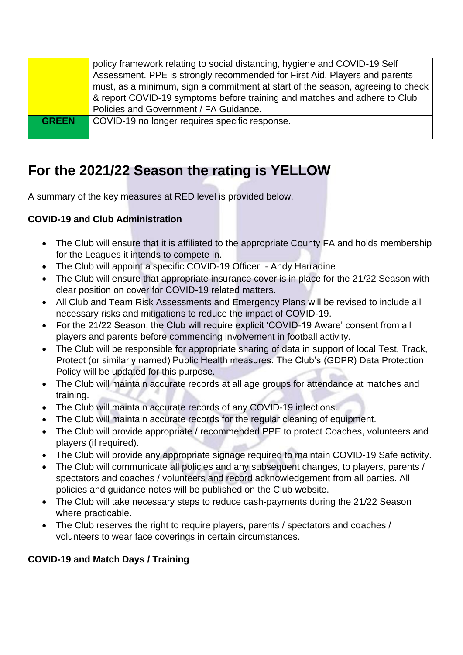|              | policy framework relating to social distancing, hygiene and COVID-19 Self       |
|--------------|---------------------------------------------------------------------------------|
|              | Assessment. PPE is strongly recommended for First Aid. Players and parents      |
|              | must, as a minimum, sign a commitment at start of the season, agreeing to check |
|              | & report COVID-19 symptoms before training and matches and adhere to Club       |
|              | Policies and Government / FA Guidance.                                          |
| <b>GREEN</b> | COVID-19 no longer requires specific response.                                  |
|              |                                                                                 |

## **For the 2021/22 Season the rating is YELLOW**

A summary of the key measures at RED level is provided below.

### **COVID-19 and Club Administration**

- The Club will ensure that it is affiliated to the appropriate County FA and holds membership for the Leagues it intends to compete in.
- The Club will appoint a specific COVID-19 Officer Andy Harradine
- The Club will ensure that appropriate insurance cover is in place for the 21/22 Season with clear position on cover for COVID-19 related matters.
- All Club and Team Risk Assessments and Emergency Plans will be revised to include all necessary risks and mitigations to reduce the impact of COVID-19.
- For the 21/22 Season, the Club will require explicit 'COVID-19 Aware' consent from all players and parents before commencing involvement in football activity.
- The Club will be responsible for appropriate sharing of data in support of local Test, Track, Protect (or similarly named) Public Health measures. The Club's (GDPR) Data Protection Policy will be updated for this purpose.
- The Club will maintain accurate records at all age groups for attendance at matches and training.
- The Club will maintain accurate records of any COVID-19 infections.
- The Club will maintain accurate records for the regular cleaning of equipment.
- The Club will provide appropriate / recommended PPE to protect Coaches, volunteers and players (if required).
- The Club will provide any appropriate signage required to maintain COVID-19 Safe activity.
- The Club will communicate all policies and any subsequent changes, to players, parents / spectators and coaches / volunteers and record acknowledgement from all parties. All policies and guidance notes will be published on the Club website.
- The Club will take necessary steps to reduce cash-payments during the 21/22 Season where practicable.
- The Club reserves the right to require players, parents / spectators and coaches / volunteers to wear face coverings in certain circumstances.

### **COVID-19 and Match Days / Training**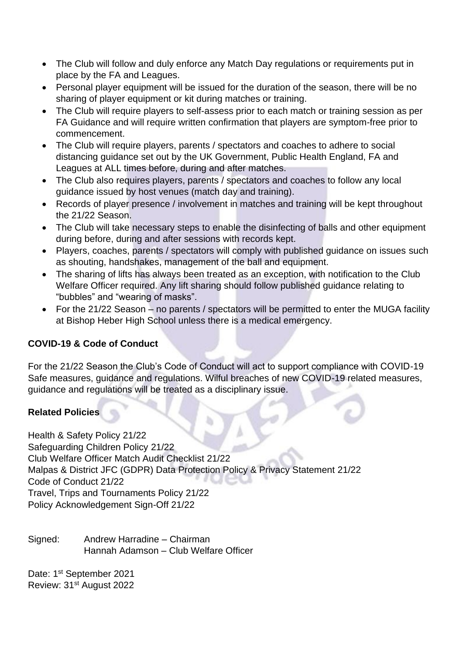- The Club will follow and duly enforce any Match Day regulations or requirements put in place by the FA and Leagues.
- Personal player equipment will be issued for the duration of the season, there will be no sharing of player equipment or kit during matches or training.
- The Club will require players to self-assess prior to each match or training session as per FA Guidance and will require written confirmation that players are symptom-free prior to commencement.
- The Club will require players, parents / spectators and coaches to adhere to social distancing guidance set out by the UK Government, Public Health England, FA and Leagues at ALL times before, during and after matches.
- The Club also requires players, parents / spectators and coaches to follow any local guidance issued by host venues (match day and training).
- Records of player presence / involvement in matches and training will be kept throughout the 21/22 Season.
- The Club will take necessary steps to enable the disinfecting of balls and other equipment during before, during and after sessions with records kept.
- Players, coaches, parents / spectators will comply with published guidance on issues such as shouting, handshakes, management of the ball and equipment.
- The sharing of lifts has always been treated as an exception, with notification to the Club Welfare Officer required. Any lift sharing should follow published guidance relating to "bubbles" and "wearing of masks".
- For the 21/22 Season no parents / spectators will be permitted to enter the MUGA facility at Bishop Heber High School unless there is a medical emergency.

### **COVID-19 & Code of Conduct**

For the 21/22 Season the Club's Code of Conduct will act to support compliance with COVID-19 Safe measures, guidance and regulations. Wilful breaches of new COVID-19 related measures, guidance and regulations will be treated as a disciplinary issue.

#### **Related Policies**

Health & Safety Policy 21/22 Safeguarding Children Policy 21/22 Club Welfare Officer Match Audit Checklist 21/22 Malpas & District JFC (GDPR) Data Protection Policy & Privacy Statement 21/22 Code of Conduct 21/22 Travel, Trips and Tournaments Policy 21/22 Policy Acknowledgement Sign-Off 21/22

Signed: Andrew Harradine – Chairman Hannah Adamson – Club Welfare Officer

Date: 1<sup>st</sup> September 2021 Review: 31st August 2022